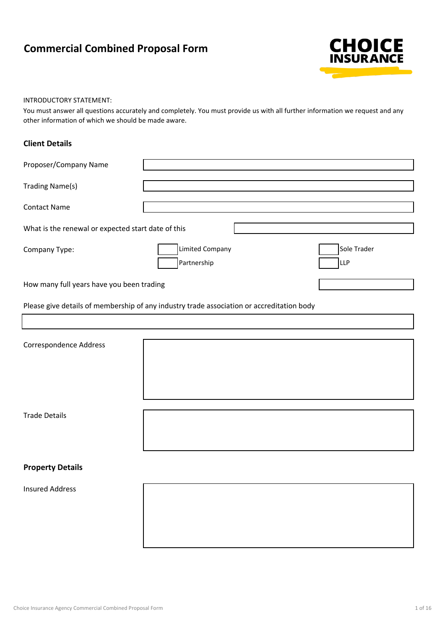# **Commercial Combined Proposal Form**



#### INTRODUCTORY STATEMENT:

You must answer all questions accurately and completely. You must provide us with all further information we request and any other information of which we should be made aware.

### **Client Details**

| Proposer/Company Name                              |                                                                                           |                           |
|----------------------------------------------------|-------------------------------------------------------------------------------------------|---------------------------|
| <b>Trading Name(s)</b>                             |                                                                                           |                           |
| <b>Contact Name</b>                                |                                                                                           |                           |
| What is the renewal or expected start date of this |                                                                                           |                           |
| Company Type:                                      | <b>Limited Company</b><br>Partnership                                                     | Sole Trader<br><b>LLP</b> |
| How many full years have you been trading          |                                                                                           |                           |
|                                                    | Please give details of membership of any industry trade association or accreditation body |                           |
|                                                    |                                                                                           |                           |
| Correspondence Address                             |                                                                                           |                           |
|                                                    |                                                                                           |                           |
| <b>Trade Details</b>                               |                                                                                           |                           |
| <b>Property Details</b>                            |                                                                                           |                           |
| <b>Insured Address</b>                             |                                                                                           |                           |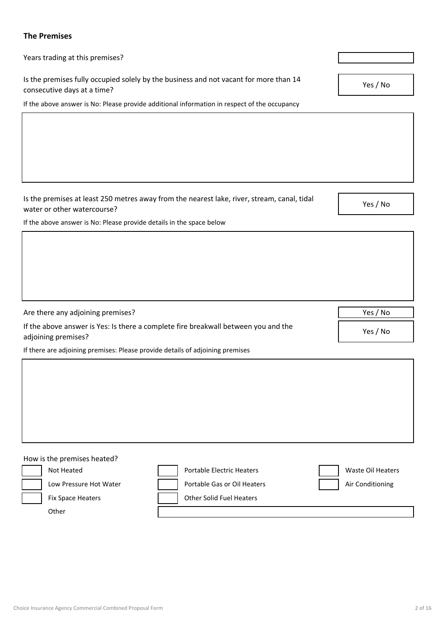# **The Premises**

Years trading at this premises?

Are there any adjoining premises?

adjoining premises?

Is the premises fully occupied solely by the business and not vacant for more than 14 consecutive days at a time?

If the above answer is No: Please provide additional information in respect of the occupancy

Is the premises at least 250 metres away from the nearest lake, river, stream, canal, tidal

Yes / No

Yes / No

water or other watercourse? If the above answer is No: Please provide details in the space below

Yes / No

Yes / No

If there are adjoining premises: Please provide details of adjoining premises

If the above answer is Yes: Is there a complete fire breakwall between you and the

How is the premises heated? Not Heated **Portable Electric Heaters** Waste Oil Heaters **Portable Electric Heaters** Low Pressure Hot Water **Portable Gas or Oil Heaters** Air Conditioning Fix Space Heaters **Fix Space Heaters Contract Lease Except** Other Solid Fuel Heaters **Other**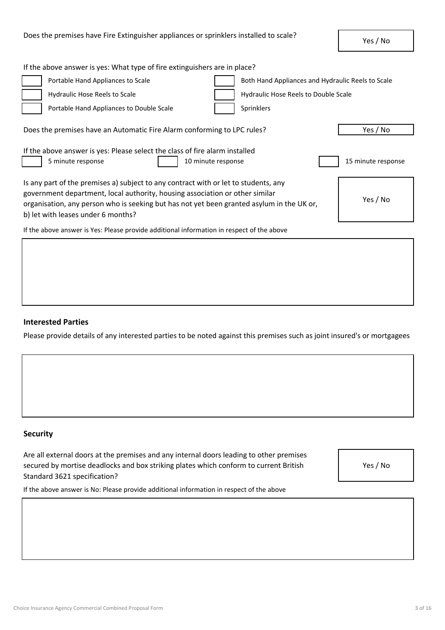| If the above answer is yes: What type of fire extinguishers are in place?                                                                                                                                                                                                                                          |                                                   |  |  |  |
|--------------------------------------------------------------------------------------------------------------------------------------------------------------------------------------------------------------------------------------------------------------------------------------------------------------------|---------------------------------------------------|--|--|--|
| Portable Hand Appliances to Scale                                                                                                                                                                                                                                                                                  | Both Hand Appliances and Hydraulic Reels to Scale |  |  |  |
| Hydraulic Hose Reels to Scale                                                                                                                                                                                                                                                                                      | <b>Hydraulic Hose Reels to Double Scale</b>       |  |  |  |
| Portable Hand Appliances to Double Scale<br>Sprinklers                                                                                                                                                                                                                                                             |                                                   |  |  |  |
| Does the premises have an Automatic Fire Alarm conforming to LPC rules?                                                                                                                                                                                                                                            | Yes / No                                          |  |  |  |
| If the above answer is yes: Please select the class of fire alarm installed<br>5 minute response<br>10 minute response<br>15 minute response                                                                                                                                                                       |                                                   |  |  |  |
| Is any part of the premises a) subject to any contract with or let to students, any<br>government department, local authority, housing association or other similar<br>Yes / No<br>organisation, any person who is seeking but has not yet been granted asylum in the UK or,<br>b) let with leases under 6 months? |                                                   |  |  |  |
| If the above answer is Yes: Please provide additional information in respect of the above                                                                                                                                                                                                                          |                                                   |  |  |  |

# **Interested Parties**

Please provide details of any interested parties to be noted against this premises such as joint insured's or mortgagees

# **Security**

Are all external doors at the premises and any internal doors leading to other premises secured by mortise deadlocks and box striking plates which conform to current British Standard 3621 specification?

Yes / No

If the above answer is No: Please provide additional information in respect of the above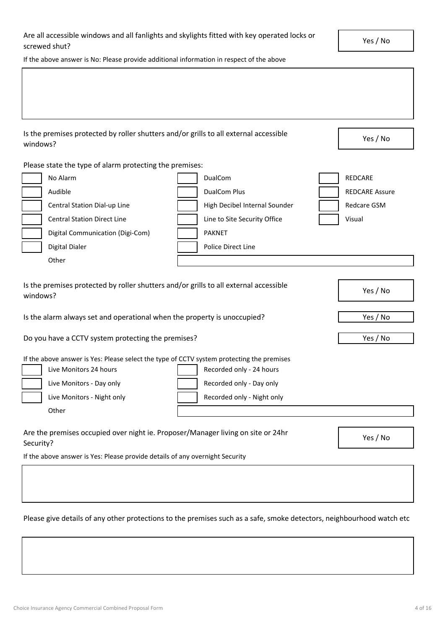| Are all accessible windows and all fanlights and skylights fitted with key operated locks or |  |
|----------------------------------------------------------------------------------------------|--|
| screwed shut?                                                                                |  |
|                                                                                              |  |

Yes / No

If the above answer is No: Please provide additional information in respect of the above

Is the premises protected by roller shutters and/or grills to all external accessible windows?

Please state the type of alarm protecting the premises:

| No Alarm                           | <b>DualCom</b>                | REDCARE               |
|------------------------------------|-------------------------------|-----------------------|
| Audible                            | DualCom Plus                  | <b>REDCARE Assure</b> |
| Central Station Dial-up Line       | High Decibel Internal Sounder | Redcare GSM           |
| <b>Central Station Direct Line</b> | Line to Site Security Office  | Visual                |
| Digital Communication (Digi-Com)   | <b>PAKNET</b>                 |                       |
| Digital Dialer                     | Police Direct Line            |                       |
| Other                              |                               |                       |
|                                    |                               |                       |

| Is the premises protected by roller shutters and/or grills to all external accessible<br>windows?                                                                                                                                                                            | Yes / No                                          |
|------------------------------------------------------------------------------------------------------------------------------------------------------------------------------------------------------------------------------------------------------------------------------|---------------------------------------------------|
| Is the alarm always set and operational when the property is unoccupied?                                                                                                                                                                                                     | Yes / No                                          |
| Do you have a CCTV system protecting the premises?                                                                                                                                                                                                                           | Yes / No                                          |
| If the above answer is Yes: Please select the type of CCTV system protecting the premises<br>Live Monitors 24 hours<br>Recorded only - 24 hours<br>Recorded only - Day only<br>Live Monitors - Day only<br>Live Monitors - Night only<br>Recorded only - Night only<br>Other |                                                   |
| Are the premises occupied over night ie. Proposer/Manager living on site or 24hr                                                                                                                                                                                             | $V_{\text{max}}$ $\left\{ N_{\text{max}}\right\}$ |

Security? If the above answer is Yes: Please provide details of any overnight Security

Please give details of any other protections to the premises such as a safe, smoke detectors, neighbourhood watch etc

Yes / No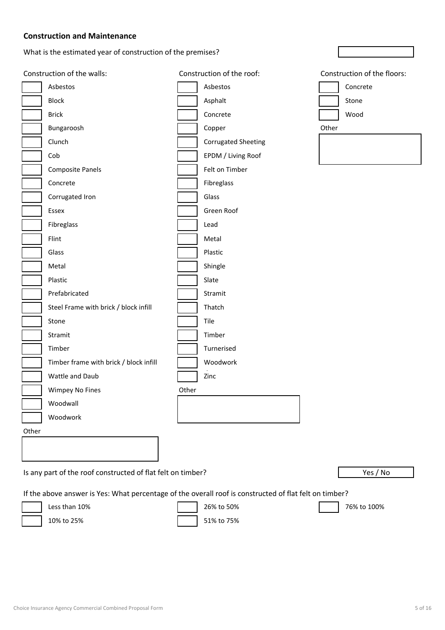# **Construction and Maintenance**

What is the estimated year of construction of the premises?

|       | Construction of the walls:                                  |       | Construction of the roof:  |       | Construction of the floors: |
|-------|-------------------------------------------------------------|-------|----------------------------|-------|-----------------------------|
|       | Asbestos                                                    |       | Asbestos                   |       | Concrete                    |
|       | <b>Block</b>                                                |       | Asphalt                    |       | Stone                       |
|       | <b>Brick</b>                                                |       | Concrete                   |       | Wood                        |
|       | Bungaroosh                                                  |       | Copper                     | Other |                             |
|       | Clunch                                                      |       | <b>Corrugated Sheeting</b> |       |                             |
|       | Cob                                                         |       | EPDM / Living Roof         |       |                             |
|       | <b>Composite Panels</b>                                     |       | Felt on Timber             |       |                             |
|       | Concrete                                                    |       | Fibreglass                 |       |                             |
|       | Corrugated Iron                                             |       | Glass                      |       |                             |
|       | Essex                                                       |       | Green Roof                 |       |                             |
|       | Fibreglass                                                  |       | Lead                       |       |                             |
|       | Flint                                                       |       | Metal                      |       |                             |
|       | Glass                                                       |       | Plastic                    |       |                             |
|       | Metal                                                       |       | Shingle                    |       |                             |
|       | Plastic                                                     |       | Slate                      |       |                             |
|       | Prefabricated                                               |       | Stramit                    |       |                             |
|       | Steel Frame with brick / block infill                       |       | Thatch                     |       |                             |
|       | Stone                                                       |       | Tile                       |       |                             |
|       | Stramit                                                     |       | Timber                     |       |                             |
|       | Timber                                                      |       | Turnerised                 |       |                             |
|       | Timber frame with brick / block infill                      |       | Woodwork                   |       |                             |
|       | Wattle and Daub                                             |       | Zinc                       |       |                             |
|       | Wimpey No Fines                                             | Other |                            |       |                             |
|       | Woodwall                                                    |       |                            |       |                             |
|       | Woodwork                                                    |       |                            |       |                             |
| Other |                                                             |       |                            |       |                             |
|       |                                                             |       |                            |       |                             |
|       |                                                             |       |                            |       |                             |
|       | Is any part of the roof constructed of flat felt on timber? |       |                            |       | Yes / No                    |
|       |                                                             |       |                            |       |                             |

If the above answer is Yes: What percentage of the overall roof is constructed of flat felt on timber?

Less than 10% 26% to 50% 76% to 100%

10% to 25% 51% to 75%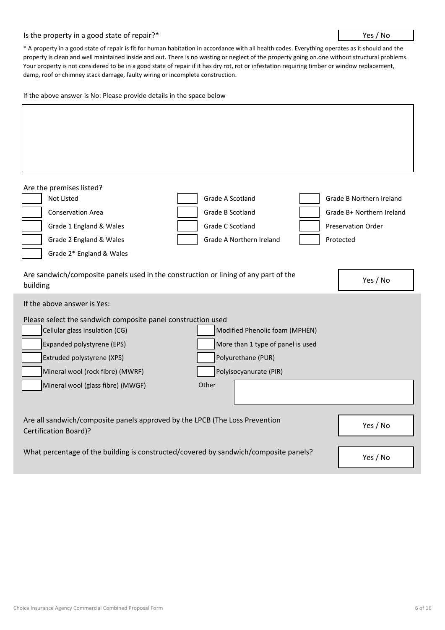#### Is the property in a good state of repair?\*

#### Yes / No

\* A property in a good state of repair is fit for human habitation in accordance with all health codes. Everything operates as it should and the property is clean and well maintained inside and out. There is no wasting or neglect of the property going on.one without structural problems. Your property is not considered to be in a good state of repair if it has dry rot, rot or infestation requiring timber or window replacement, damp, roof or chimney stack damage, faulty wiring or incomplete construction.

If the above answer is No: Please provide details in the space below

| Are the premises listed?                                                                                    |                                   |                                 |
|-------------------------------------------------------------------------------------------------------------|-----------------------------------|---------------------------------|
| Not Listed                                                                                                  | Grade A Scotland                  | <b>Grade B Northern Ireland</b> |
| <b>Conservation Area</b>                                                                                    | Grade B Scotland                  | Grade B+ Northern Ireland       |
| Grade 1 England & Wales                                                                                     | Grade C Scotland                  | Preservation Order              |
| Grade 2 England & Wales                                                                                     | Grade A Northern Ireland          | Protected                       |
| Grade 2* England & Wales                                                                                    |                                   |                                 |
| Are sandwich/composite panels used in the construction or lining of any part of the<br>building             |                                   | Yes / No                        |
| If the above answer is Yes:                                                                                 |                                   |                                 |
| Please select the sandwich composite panel construction used                                                |                                   |                                 |
| Cellular glass insulation (CG)                                                                              | Modified Phenolic foam (MPHEN)    |                                 |
| Expanded polystyrene (EPS)                                                                                  | More than 1 type of panel is used |                                 |
| Extruded polystyrene (XPS)                                                                                  | Polyurethane (PUR)                |                                 |
| Mineral wool (rock fibre) (MWRF)                                                                            | Polyisocyanurate (PIR)            |                                 |
| Mineral wool (glass fibre) (MWGF)                                                                           | Other                             |                                 |
|                                                                                                             |                                   |                                 |
| Are all sandwich/composite panels approved by the LPCB (The Loss Prevention<br><b>Certification Board)?</b> |                                   | Yes / No                        |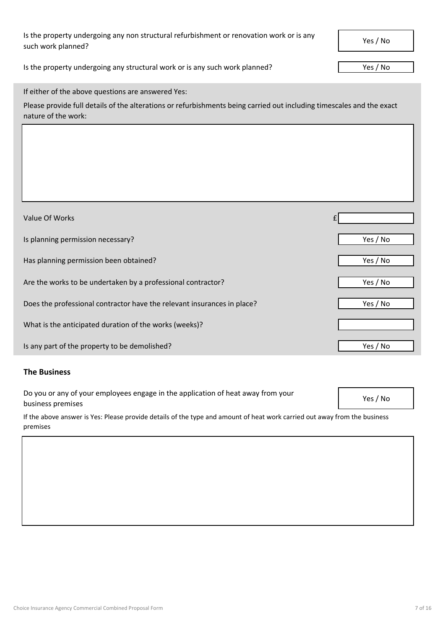# Is the property undergoing any non structural refurbishment or renovation work or is any such work planned?

Is the property undergoing any structural work or is any such work planned?

Yes / No

|  | If either of the above questions are answered Yes: |
|--|----------------------------------------------------|
|--|----------------------------------------------------|

Please provide full details of the alterations or refurbishments being carried out including timescales and the exact nature of the work:

| Value Of Works                                                          |          |
|-------------------------------------------------------------------------|----------|
| Is planning permission necessary?                                       | Yes / No |
| Has planning permission been obtained?                                  | Yes / No |
| Are the works to be undertaken by a professional contractor?            | Yes / No |
| Does the professional contractor have the relevant insurances in place? | Yes / No |
| What is the anticipated duration of the works (weeks)?                  |          |
| Is any part of the property to be demolished?                           | Yes / No |

## **The Business**

Do you or any of your employees engage in the application of heat away from your business premises

Yes / No

If the above answer is Yes: Please provide details of the type and amount of heat work carried out away from the business premises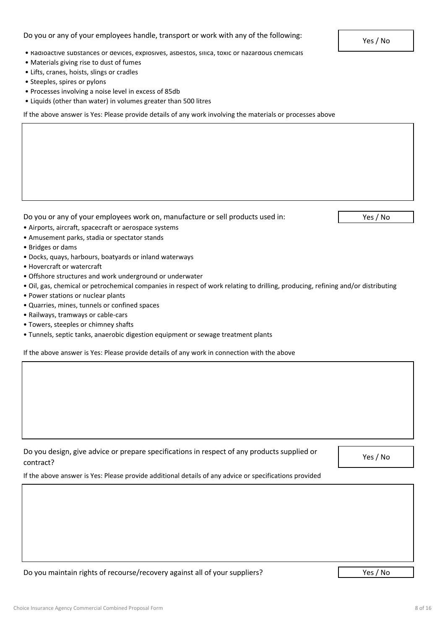# Do you or any of your employees handle, transport or work with any of the following:

- Radioactive substances or devices, explosives, asbestos, silica, toxic or hazardous chemicals
- Materials giving rise to dust of fumes
- Lifts, cranes, hoists, slings or cradles
- Steeples, spires or pylons
- Processes involving a noise level in excess of 85db
- Liquids (other than water) in volumes greater than 500 litres

If the above answer is Yes: Please provide details of any work involving the materials or processes above

Do you or any of your employees work on, manufacture or sell products used in:

Yes / No

- Airports, aircraft, spacecraft or aerospace systems
- Amusement parks, stadia or spectator stands
- Bridges or dams
- Docks, quays, harbours, boatyards or inland waterways
- Hovercraft or watercraft
- Offshore structures and work underground or underwater
- Oil, gas, chemical or petrochemical companies in respect of work relating to drilling, producing, refining and/or distributing
- Power stations or nuclear plants
- Quarries, mines, tunnels or confined spaces
- Railways, tramways or cable-cars
- Towers, steeples or chimney shafts
- Tunnels, septic tanks, anaerobic digestion equipment or sewage treatment plants

If the above answer is Yes: Please provide details of any work in connection with the above

| Do you design, give advice or prepare specifications in respect of any products supplied or |  |
|---------------------------------------------------------------------------------------------|--|
| contract?                                                                                   |  |

Yes / No

If the above answer is Yes: Please provide additional details of any advice or specifications provided

Do you maintain rights of recourse/recovery against all of your suppliers?

Yes / No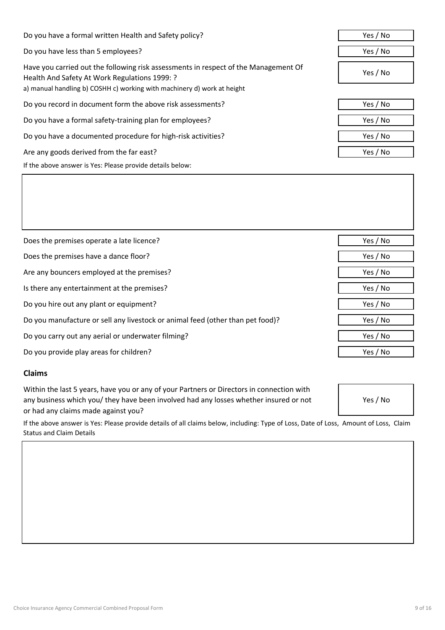| Do you have a formal written Health and Safety policy?                                                                               | Yes / No |
|--------------------------------------------------------------------------------------------------------------------------------------|----------|
| Do you have less than 5 employees?                                                                                                   | Yes / No |
| Have you carried out the following risk assessments in respect of the Management Of<br>Health And Safety At Work Regulations 1999: ? | Yes / No |
| a) manual handling b) COSHH c) working with machinery d) work at height                                                              |          |
| Do you record in document form the above risk assessments?                                                                           | Yes / No |
| Do you have a formal safety-training plan for employees?                                                                             | Yes / No |
| Do you have a documented procedure for high-risk activities?                                                                         | Yes / No |
| Are any goods derived from the far east?                                                                                             | Yes / No |
| If the above answer is Yes: Please provide details below:                                                                            |          |

| Does the premises operate a late licence?                                      | Yes / No |
|--------------------------------------------------------------------------------|----------|
| Does the premises have a dance floor?                                          | Yes / No |
| Are any bouncers employed at the premises?                                     | Yes / No |
| Is there any entertainment at the premises?                                    | Yes / No |
| Do you hire out any plant or equipment?                                        | Yes / No |
| Do you manufacture or sell any livestock or animal feed (other than pet food)? | Yes / No |
| Do you carry out any aerial or underwater filming?                             | Yes / No |
| Do you provide play areas for children?                                        | Yes / No |
|                                                                                |          |

# **Claims**

Within the last 5 years, have you or any of your Partners or Directors in connection with any business which you/ they have been involved had any losses whether insured or not or had any claims made against you?

If the above answer is Yes: Please provide details of all claims below, including: Type of Loss, Date of Loss, Amount of Loss, Claim Status and Claim Details

Yes / No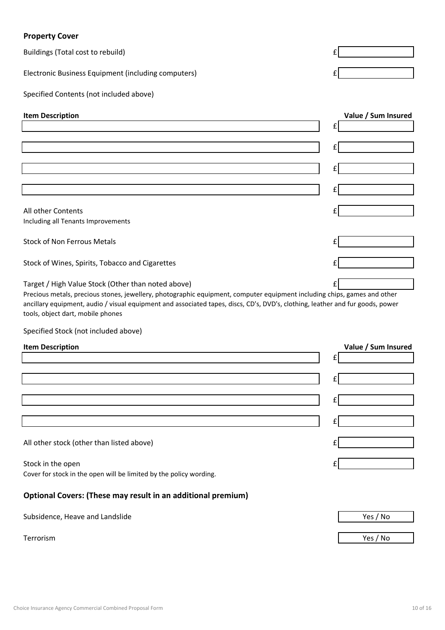# **Property Cover**

| <b>TIOPEILY COVET</b>                                                                                                                                                                                                                                                                                                                                 |                     |
|-------------------------------------------------------------------------------------------------------------------------------------------------------------------------------------------------------------------------------------------------------------------------------------------------------------------------------------------------------|---------------------|
| Buildings (Total cost to rebuild)                                                                                                                                                                                                                                                                                                                     |                     |
| Electronic Business Equipment (including computers)                                                                                                                                                                                                                                                                                                   |                     |
| Specified Contents (not included above)                                                                                                                                                                                                                                                                                                               |                     |
| <b>Item Description</b>                                                                                                                                                                                                                                                                                                                               | Value / Sum Insured |
|                                                                                                                                                                                                                                                                                                                                                       | £                   |
|                                                                                                                                                                                                                                                                                                                                                       | £                   |
|                                                                                                                                                                                                                                                                                                                                                       | £                   |
|                                                                                                                                                                                                                                                                                                                                                       |                     |
|                                                                                                                                                                                                                                                                                                                                                       | £                   |
| All other Contents                                                                                                                                                                                                                                                                                                                                    |                     |
| Including all Tenants Improvements                                                                                                                                                                                                                                                                                                                    |                     |
| <b>Stock of Non Ferrous Metals</b>                                                                                                                                                                                                                                                                                                                    |                     |
| Stock of Wines, Spirits, Tobacco and Cigarettes                                                                                                                                                                                                                                                                                                       |                     |
| Target / High Value Stock (Other than noted above)<br>Precious metals, precious stones, jewellery, photographic equipment, computer equipment including chips, games and other<br>ancillary equipment, audio / visual equipment and associated tapes, discs, CD's, DVD's, clothing, leather and fur goods, power<br>tools, object dart, mobile phones |                     |
| Specified Stock (not included above)                                                                                                                                                                                                                                                                                                                  |                     |
| <b>Item Description</b>                                                                                                                                                                                                                                                                                                                               | Value / Sum Insured |
|                                                                                                                                                                                                                                                                                                                                                       | £                   |
|                                                                                                                                                                                                                                                                                                                                                       |                     |
|                                                                                                                                                                                                                                                                                                                                                       | £                   |
|                                                                                                                                                                                                                                                                                                                                                       | £                   |
|                                                                                                                                                                                                                                                                                                                                                       | £                   |
| All other stock (other than listed above)                                                                                                                                                                                                                                                                                                             |                     |
|                                                                                                                                                                                                                                                                                                                                                       |                     |
| Stock in the open<br>Cover for stock in the open will be limited by the policy wording.                                                                                                                                                                                                                                                               |                     |
| Optional Covers: (These may result in an additional premium)                                                                                                                                                                                                                                                                                          |                     |
| Subsidence, Heave and Landslide                                                                                                                                                                                                                                                                                                                       | Yes / No            |
| Terrorism                                                                                                                                                                                                                                                                                                                                             | Yes / No            |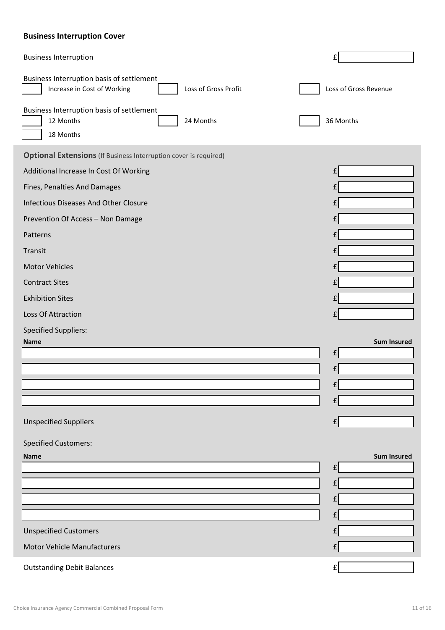# **Business Interruption Cover**

| <b>Business Interruption</b>                                                                     |                       |
|--------------------------------------------------------------------------------------------------|-----------------------|
| Business Interruption basis of settlement<br>Loss of Gross Profit<br>Increase in Cost of Working | Loss of Gross Revenue |
| Business Interruption basis of settlement<br>24 Months<br>12 Months<br>18 Months                 | 36 Months             |
| <b>Optional Extensions</b> (If Business Interruption cover is required)                          |                       |
| Additional Increase In Cost Of Working                                                           |                       |
| Fines, Penalties And Damages                                                                     |                       |
| <b>Infectious Diseases And Other Closure</b>                                                     |                       |
| Prevention Of Access - Non Damage                                                                |                       |
| Patterns                                                                                         |                       |
| Transit                                                                                          |                       |
| <b>Motor Vehicles</b>                                                                            |                       |
| <b>Contract Sites</b>                                                                            |                       |
| <b>Exhibition Sites</b>                                                                          |                       |
| Loss Of Attraction                                                                               |                       |
| <b>Specified Suppliers:</b>                                                                      |                       |
| <b>Name</b>                                                                                      | <b>Sum Insured</b>    |
|                                                                                                  |                       |
|                                                                                                  |                       |
|                                                                                                  |                       |
|                                                                                                  |                       |
| <b>Unspecified Suppliers</b>                                                                     |                       |
| <b>Specified Customers:</b>                                                                      |                       |
| <b>Name</b>                                                                                      | <b>Sum Insured</b>    |
|                                                                                                  | £                     |
|                                                                                                  |                       |
|                                                                                                  |                       |
|                                                                                                  |                       |
| <b>Unspecified Customers</b>                                                                     |                       |
| <b>Motor Vehicle Manufacturers</b>                                                               |                       |
| <b>Outstanding Debit Balances</b>                                                                |                       |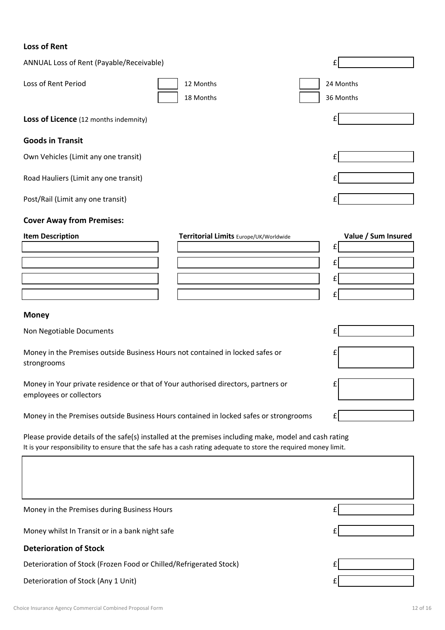# **Loss of Rent**

| ANNUAL Loss of Rent (Payable/Receivable)                                                                     |                                                                                                                                                                                                                          | £                        |
|--------------------------------------------------------------------------------------------------------------|--------------------------------------------------------------------------------------------------------------------------------------------------------------------------------------------------------------------------|--------------------------|
| Loss of Rent Period                                                                                          | 12 Months<br>18 Months                                                                                                                                                                                                   | 24 Months<br>36 Months   |
| Loss of Licence (12 months indemnity)                                                                        |                                                                                                                                                                                                                          |                          |
| <b>Goods in Transit</b>                                                                                      |                                                                                                                                                                                                                          |                          |
| Own Vehicles (Limit any one transit)                                                                         |                                                                                                                                                                                                                          |                          |
| Road Hauliers (Limit any one transit)                                                                        |                                                                                                                                                                                                                          |                          |
| Post/Rail (Limit any one transit)                                                                            |                                                                                                                                                                                                                          |                          |
| <b>Cover Away from Premises:</b>                                                                             |                                                                                                                                                                                                                          |                          |
| <b>Item Description</b>                                                                                      | Territorial Limits Europe/UK/Worldwide                                                                                                                                                                                   | Value / Sum Insured<br>£ |
|                                                                                                              |                                                                                                                                                                                                                          |                          |
|                                                                                                              |                                                                                                                                                                                                                          | £                        |
|                                                                                                              |                                                                                                                                                                                                                          | £                        |
|                                                                                                              |                                                                                                                                                                                                                          |                          |
| <b>Money</b>                                                                                                 |                                                                                                                                                                                                                          |                          |
| Non Negotiable Documents                                                                                     |                                                                                                                                                                                                                          | £                        |
| Money in the Premises outside Business Hours not contained in locked safes or<br>strongrooms                 |                                                                                                                                                                                                                          | £                        |
| Money in Your private residence or that of Your authorised directors, partners or<br>employees or collectors |                                                                                                                                                                                                                          | £                        |
|                                                                                                              | Money in the Premises outside Business Hours contained in locked safes or strongrooms                                                                                                                                    |                          |
|                                                                                                              | Please provide details of the safe(s) installed at the premises including make, model and cash rating<br>It is your responsibility to ensure that the safe has a cash rating adequate to store the required money limit. |                          |
|                                                                                                              |                                                                                                                                                                                                                          |                          |
|                                                                                                              |                                                                                                                                                                                                                          |                          |
|                                                                                                              |                                                                                                                                                                                                                          |                          |

Money in the Premises during Business Hours

Money whilst In Transit or in a bank night safe

# **Deterioration of Stock**

Deterioration of Stock (Frozen Food or Chilled/Refrigerated Stock)

Deterioration of Stock (Any 1 Unit)

£

£

£

£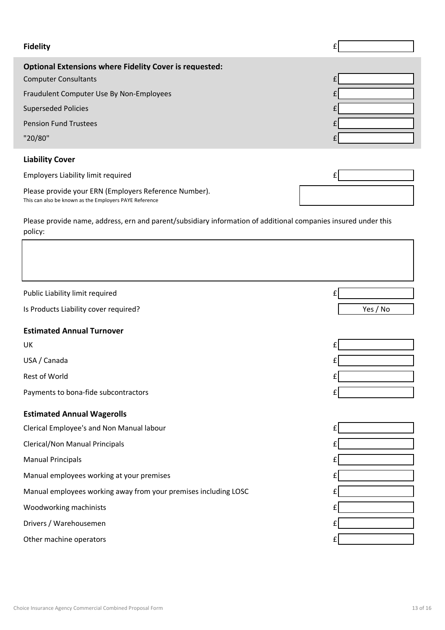| <b>Fidelity</b>                                               |  |
|---------------------------------------------------------------|--|
| <b>Optional Extensions where Fidelity Cover is requested:</b> |  |
| <b>Computer Consultants</b>                                   |  |
| Fraudulent Computer Use By Non-Employees                      |  |
| <b>Superseded Policies</b>                                    |  |
| <b>Pension Fund Trustees</b>                                  |  |
| "20/80"                                                       |  |

# **Liability Cover**

| Employers Liability limit required                                                                              |  |
|-----------------------------------------------------------------------------------------------------------------|--|
| Please provide your ERN (Employers Reference Number).<br>This can also be known as the Employers PAYE Reference |  |

Please provide name, address, ern and parent/subsidiary information of additional companies insured under this policy:

| Public Liability limit required<br>f                            |          |
|-----------------------------------------------------------------|----------|
| Is Products Liability cover required?                           | Yes / No |
| <b>Estimated Annual Turnover</b>                                |          |
| UK                                                              |          |
| USA / Canada                                                    |          |
| <b>Rest of World</b>                                            |          |
| Payments to bona-fide subcontractors                            |          |
| <b>Estimated Annual Wagerolls</b>                               |          |
| Clerical Employee's and Non Manual labour                       |          |
| <b>Clerical/Non Manual Principals</b>                           |          |
| <b>Manual Principals</b>                                        |          |
| Manual employees working at your premises                       |          |
| Manual employees working away from your premises including LOSC |          |
| Woodworking machinists                                          |          |
| Drivers / Warehousemen                                          |          |
| Other machine operators                                         |          |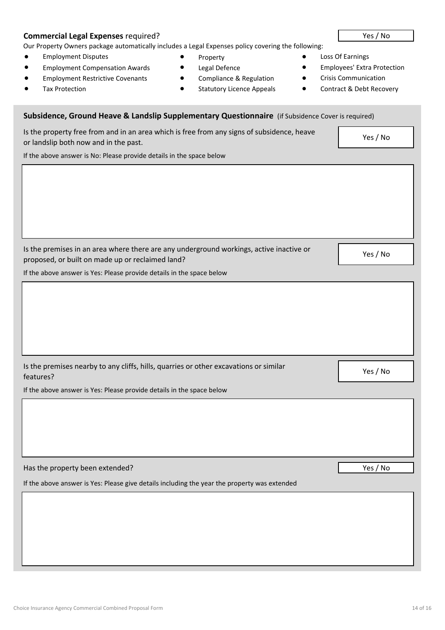# **Commercial Legal Expenses** required? **The activity of the Commercial Legal Expenses**  $\sim$  Yes / No

Our Property Owners package automatically includes a Legal Expenses policy covering the following:

Is the property free from and in an area which is free from any signs of subsidence, heave

- Employment Disputes • Property Property Loss Of Earnings
- Employment Compensation Awards Legal Defence Computer Computers' Extra Protection
- Employment Restrictive Covenants Compliance & Regulation Crisis Communication
- 
- 
- 
- 
- Tax Protection **and Statutory Licence Appeals Contract & Debt Recovery**
- **Subsidence, Ground Heave & Landslip Supplementary Questionnaire** (if Subsidence Cover is required)

| or landslip both now and in the past.                                                                                                       | res / No |
|---------------------------------------------------------------------------------------------------------------------------------------------|----------|
| If the above answer is No: Please provide details in the space below                                                                        |          |
|                                                                                                                                             |          |
|                                                                                                                                             |          |
|                                                                                                                                             |          |
|                                                                                                                                             |          |
|                                                                                                                                             |          |
|                                                                                                                                             |          |
| Is the premises in an area where there are any underground workings, active inactive or<br>proposed, or built on made up or reclaimed land? | Yes / No |
| If the above answer is Yes: Please provide details in the space below                                                                       |          |
|                                                                                                                                             |          |
|                                                                                                                                             |          |
|                                                                                                                                             |          |
|                                                                                                                                             |          |
|                                                                                                                                             |          |
|                                                                                                                                             |          |
| Is the premises nearby to any cliffs, hills, quarries or other excavations or similar                                                       | Yes / No |
| features?                                                                                                                                   |          |
| If the above answer is Yes: Please provide details in the space below                                                                       |          |
|                                                                                                                                             |          |
|                                                                                                                                             |          |
|                                                                                                                                             |          |
|                                                                                                                                             |          |
| Has the property been extended?                                                                                                             | Yes / No |
| If the above answer is Yes: Please give details including the year the property was extended                                                |          |
|                                                                                                                                             |          |
|                                                                                                                                             |          |
|                                                                                                                                             |          |
|                                                                                                                                             |          |

 $\overline{V}$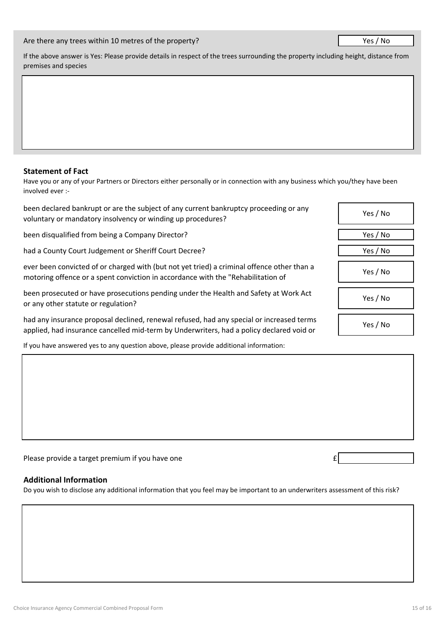#### Are there any trees within 10 metres of the property?

If the above answer is Yes: Please provide details in respect of the trees surrounding the property including height, distance from premises and species

## **Statement of Fact**

Have you or any of your Partners or Directors either personally or in connection with any business which you/they have been involved ever :-

been declared bankrupt or are the subject of any current bankruptcy proceeding or any voluntary or mandatory insolvency or winding up procedures?

been disqualified from being a Company Director?

had a County Court Judgement or Sheriff Court Decree?

ever been convicted of or charged with (but not yet tried) a criminal offence other than a motoring offence or a spent conviction in accordance with the "Rehabilitation of

been prosecuted or have prosecutions pending under the Health and Safety at Work Act or any other statute or regulation?

had any insurance proposal declined, renewal refused, had any special or increased terms applied, had insurance cancelled mid-term by Underwriters, had a policy declared void or

If you have answered yes to any question above, please provide additional information:

Please provide a target premium if you have one  $\epsilon$ 

## **Additional Information**

Do you wish to disclose any additional information that you feel may be important to an underwriters assessment of this risk?

| Yes / No |
|----------|
| Yes / No |
| Yes / No |
| Yes / No |
| Yes / No |
| Yes / No |